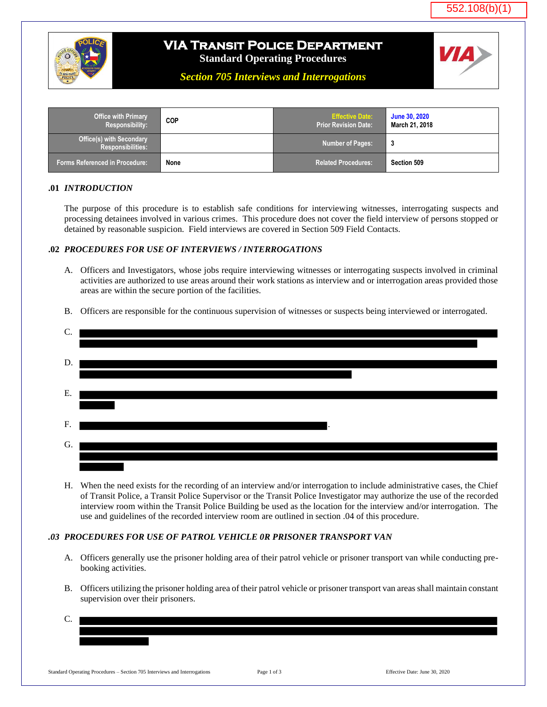



# **VIA Transit Police Department**

**Standard Operating Procedures**

*Section 705 Interviews and Interrogations*

| <b>Office with Primary</b><br>Responsibility:               | <b>COP</b> | <b>Effective Date:</b><br><b>Prior Revision Date:</b> | <b>June 30, 2020</b><br>March 21, 2018 |
|-------------------------------------------------------------|------------|-------------------------------------------------------|----------------------------------------|
| <b>Office(s) with Secondary</b><br><b>Responsibilities:</b> |            | <b>Number of Pages:</b>                               |                                        |
| Forms Referenced in Procedure: ˈ                            | None       | <b>Related Procedures:</b>                            | Section 509                            |

### **.01** *INTRODUCTION*

The purpose of this procedure is to establish safe conditions for interviewing witnesses, interrogating suspects and processing detainees involved in various crimes. This procedure does not cover the field interview of persons stopped or detained by reasonable suspicion. Field interviews are covered in Section 509 Field Contacts.

### **.02** *PROCEDURES FOR USE OF INTERVIEWS / INTERROGATIONS*

- A. Officers and Investigators, whose jobs require interviewing witnesses or interrogating suspects involved in criminal activities are authorized to use areas around their work stations as interview and or interrogation areas provided those areas are within the secure portion of the facilities.
- B. Officers are responsible for the continuous supervision of witnesses or suspects being interviewed or interrogated.

| C. |           |
|----|-----------|
|    |           |
| D. |           |
|    |           |
| Ε. |           |
|    |           |
| F. | $\bullet$ |
| G. |           |
|    |           |
|    |           |

H. When the need exists for the recording of an interview and/or interrogation to include administrative cases, the Chief of Transit Police, a Transit Police Supervisor or the Transit Police Investigator may authorize the use of the recorded interview room within the Transit Police Building be used as the location for the interview and/or interrogation. The use and guidelines of the recorded interview room are outlined in section .04 of this procedure.

## *.03 PROCEDURES FOR USE OF PATROL VEHICLE 0R PRISONER TRANSPORT VAN*

- A. Officers generally use the prisoner holding area of their patrol vehicle or prisoner transport van while conducting prebooking activities.
- B. Officers utilizing the prisoner holding area of their patrol vehicle or prisoner transport van areas shall maintain constant supervision over their prisoners.
- C.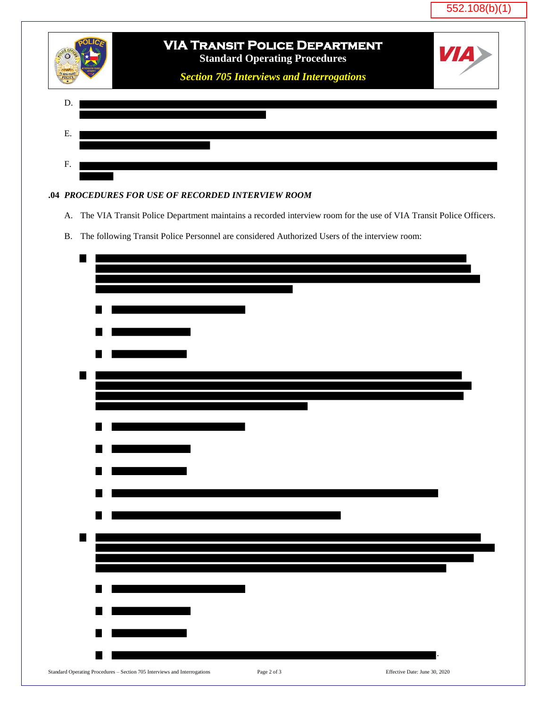



#### **.04** *PROCEDURES FOR USE OF RECORDED INTERVIEW ROOM*

- A. The VIA Transit Police Department maintains a recorded interview room for the use of VIA Transit Police Officers.
- B. The following Transit Police Personnel are considered Authorized Users of the interview room:

| ٠                                                                         |             |                               |
|---------------------------------------------------------------------------|-------------|-------------------------------|
|                                                                           |             |                               |
|                                                                           |             |                               |
|                                                                           |             |                               |
|                                                                           |             |                               |
|                                                                           |             |                               |
|                                                                           |             |                               |
|                                                                           |             |                               |
|                                                                           |             |                               |
| $\blacksquare$                                                            |             |                               |
|                                                                           |             |                               |
|                                                                           |             |                               |
|                                                                           |             |                               |
|                                                                           |             |                               |
|                                                                           |             |                               |
|                                                                           |             |                               |
|                                                                           |             |                               |
| M                                                                         |             |                               |
|                                                                           |             |                               |
|                                                                           |             |                               |
| ×                                                                         |             |                               |
|                                                                           |             |                               |
| ٠                                                                         |             |                               |
|                                                                           |             |                               |
|                                                                           |             |                               |
|                                                                           |             |                               |
|                                                                           |             |                               |
|                                                                           |             |                               |
|                                                                           |             |                               |
|                                                                           |             |                               |
| M                                                                         |             |                               |
|                                                                           |             |                               |
|                                                                           |             |                               |
| Standard Operating Procedures - Section 705 Interviews and Interrogations | Page 2 of 3 | Effective Date: June 30, 2020 |